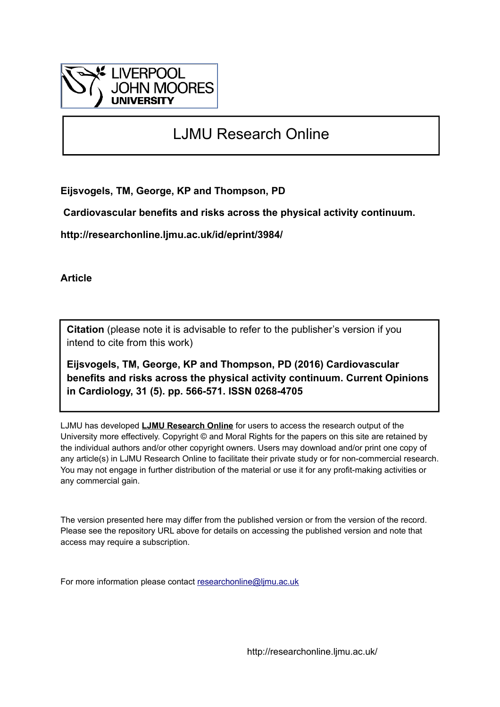

# LJMU Research Online

**Eijsvogels, TM, George, KP and Thompson, PD**

 **Cardiovascular benefits and risks across the physical activity continuum.**

**http://researchonline.ljmu.ac.uk/id/eprint/3984/**

**Article**

**Citation** (please note it is advisable to refer to the publisher's version if you intend to cite from this work)

**Eijsvogels, TM, George, KP and Thompson, PD (2016) Cardiovascular benefits and risks across the physical activity continuum. Current Opinions in Cardiology, 31 (5). pp. 566-571. ISSN 0268-4705** 

LJMU has developed **[LJMU Research Online](http://researchonline.ljmu.ac.uk/)** for users to access the research output of the University more effectively. Copyright © and Moral Rights for the papers on this site are retained by the individual authors and/or other copyright owners. Users may download and/or print one copy of any article(s) in LJMU Research Online to facilitate their private study or for non-commercial research. You may not engage in further distribution of the material or use it for any profit-making activities or any commercial gain.

The version presented here may differ from the published version or from the version of the record. Please see the repository URL above for details on accessing the published version and note that access may require a subscription.

For more information please contact [researchonline@ljmu.ac.uk](mailto:researchonline@ljmu.ac.uk)

http://researchonline.ljmu.ac.uk/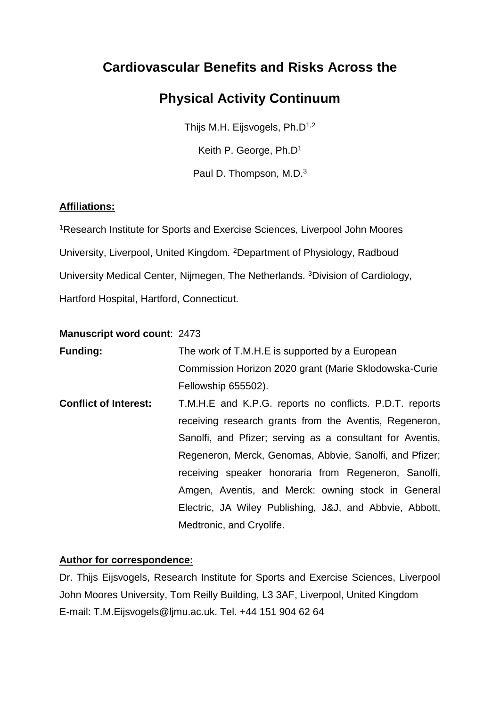## **Cardiovascular Benefits and Risks Across the**

## **Physical Activity Continuum**

Thijs M.H. Eijsvogels, Ph.D<sup>1,2</sup> Keith P. George, Ph.D<sup>1</sup>

Paul D. Thompson, M.D.<sup>3</sup>

## **Affiliations:**

<sup>1</sup>Research Institute for Sports and Exercise Sciences, Liverpool John Moores University, Liverpool, United Kingdom. <sup>2</sup>Department of Physiology, Radboud University Medical Center, Nijmegen, The Netherlands. <sup>3</sup>Division of Cardiology, Hartford Hospital, Hartford, Connecticut.

### **Manuscript word count**: 2473

| <b>Funding:</b>              | The work of T.M.H.E is supported by a European            |
|------------------------------|-----------------------------------------------------------|
|                              | Commission Horizon 2020 grant (Marie Sklodowska-Curie     |
|                              | Fellowship 655502).                                       |
| <b>Conflict of Interest:</b> | T.M.H.E and K.P.G. reports no conflicts. P.D.T. reports   |
|                              | receiving research grants from the Aventis, Regeneron,    |
|                              | Sanolfi, and Pfizer; serving as a consultant for Aventis, |
|                              | Regeneron, Merck, Genomas, Abbvie, Sanolfi, and Pfizer;   |
|                              | receiving speaker honoraria from Regeneron, Sanolfi,      |
|                              | Amgen, Aventis, and Merck: owning stock in General        |
|                              | Electric, JA Wiley Publishing, J&J, and Abbvie, Abbott,   |
|                              | Medtronic, and Cryolife.                                  |

## **Author for correspondence:**

Dr. Thijs Eijsvogels, Research Institute for Sports and Exercise Sciences, Liverpool John Moores University, Tom Reilly Building, L3 3AF, Liverpool, United Kingdom E-mail: T.M.Eijsvogels@ljmu.ac.uk. Tel. +44 151 904 62 64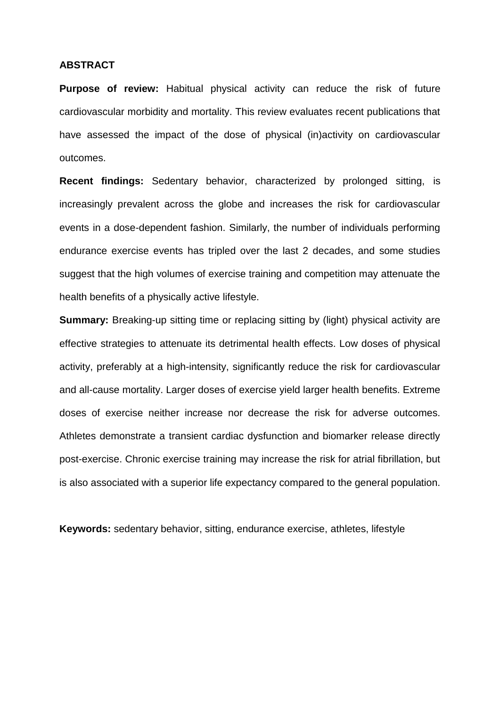#### **ABSTRACT**

**Purpose of review:** Habitual physical activity can reduce the risk of future cardiovascular morbidity and mortality. This review evaluates recent publications that have assessed the impact of the dose of physical (in)activity on cardiovascular outcomes.

**Recent findings:** Sedentary behavior, characterized by prolonged sitting, is increasingly prevalent across the globe and increases the risk for cardiovascular events in a dose-dependent fashion. Similarly, the number of individuals performing endurance exercise events has tripled over the last 2 decades, and some studies suggest that the high volumes of exercise training and competition may attenuate the health benefits of a physically active lifestyle.

**Summary:** Breaking-up sitting time or replacing sitting by (light) physical activity are effective strategies to attenuate its detrimental health effects. Low doses of physical activity, preferably at a high-intensity, significantly reduce the risk for cardiovascular and all-cause mortality. Larger doses of exercise yield larger health benefits. Extreme doses of exercise neither increase nor decrease the risk for adverse outcomes. Athletes demonstrate a transient cardiac dysfunction and biomarker release directly post-exercise. Chronic exercise training may increase the risk for atrial fibrillation, but is also associated with a superior life expectancy compared to the general population.

**Keywords:** sedentary behavior, sitting, endurance exercise, athletes, lifestyle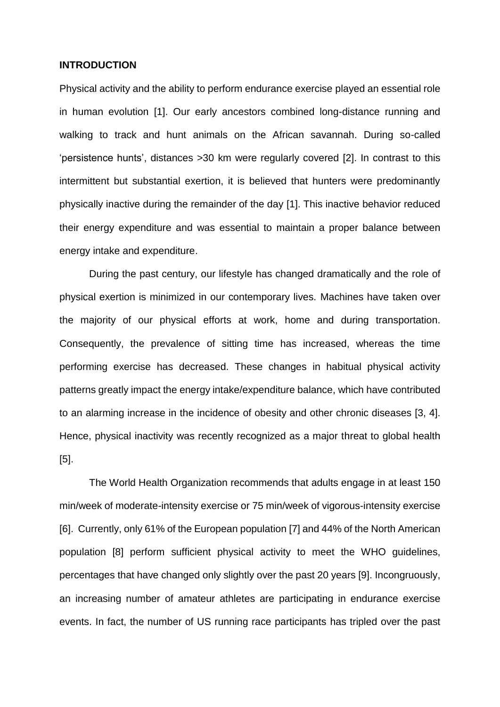#### **INTRODUCTION**

Physical activity and the ability to perform endurance exercise played an essential role in human evolution [1]. Our early ancestors combined long-distance running and walking to track and hunt animals on the African savannah. During so-called 'persistence hunts', distances >30 km were regularly covered [2]. In contrast to this intermittent but substantial exertion, it is believed that hunters were predominantly physically inactive during the remainder of the day [1]. This inactive behavior reduced their energy expenditure and was essential to maintain a proper balance between energy intake and expenditure.

During the past century, our lifestyle has changed dramatically and the role of physical exertion is minimized in our contemporary lives. Machines have taken over the majority of our physical efforts at work, home and during transportation. Consequently, the prevalence of sitting time has increased, whereas the time performing exercise has decreased. These changes in habitual physical activity patterns greatly impact the energy intake/expenditure balance, which have contributed to an alarming increase in the incidence of obesity and other chronic diseases [3, 4]. Hence, physical inactivity was recently recognized as a major threat to global health [5].

The World Health Organization recommends that adults engage in at least 150 min/week of moderate-intensity exercise or 75 min/week of vigorous-intensity exercise [6]. Currently, only 61% of the European population [7] and 44% of the North American population [8] perform sufficient physical activity to meet the WHO guidelines, percentages that have changed only slightly over the past 20 years [9]. Incongruously, an increasing number of amateur athletes are participating in endurance exercise events. In fact, the number of US running race participants has tripled over the past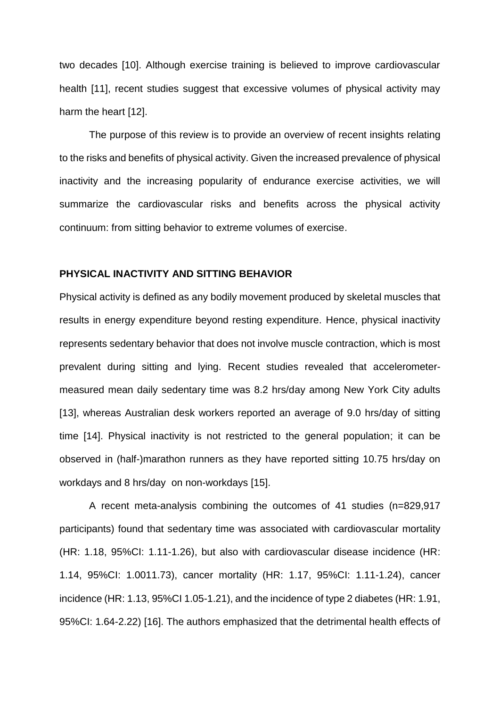two decades [10]. Although exercise training is believed to improve cardiovascular health [11], recent studies suggest that excessive volumes of physical activity may harm the heart [12].

The purpose of this review is to provide an overview of recent insights relating to the risks and benefits of physical activity. Given the increased prevalence of physical inactivity and the increasing popularity of endurance exercise activities, we will summarize the cardiovascular risks and benefits across the physical activity continuum: from sitting behavior to extreme volumes of exercise.

#### **PHYSICAL INACTIVITY AND SITTING BEHAVIOR**

Physical activity is defined as any bodily movement produced by skeletal muscles that results in energy expenditure beyond resting expenditure. Hence, physical inactivity represents sedentary behavior that does not involve muscle contraction, which is most prevalent during sitting and lying. Recent studies revealed that accelerometermeasured mean daily sedentary time was 8.2 hrs/day among New York City adults [13], whereas Australian desk workers reported an average of 9.0 hrs/day of sitting time [14]. Physical inactivity is not restricted to the general population; it can be observed in (half-)marathon runners as they have reported sitting 10.75 hrs/day on workdays and 8 hrs/day on non-workdays [15].

A recent meta-analysis combining the outcomes of 41 studies (n=829,917 participants) found that sedentary time was associated with cardiovascular mortality (HR: 1.18, 95%CI: 1.11-1.26), but also with cardiovascular disease incidence (HR: 1.14, 95%CI: 1.0011.73), cancer mortality (HR: 1.17, 95%CI: 1.11-1.24), cancer incidence (HR: 1.13, 95%CI 1.05-1.21), and the incidence of type 2 diabetes (HR: 1.91, 95%CI: 1.64-2.22) [16]. The authors emphasized that the detrimental health effects of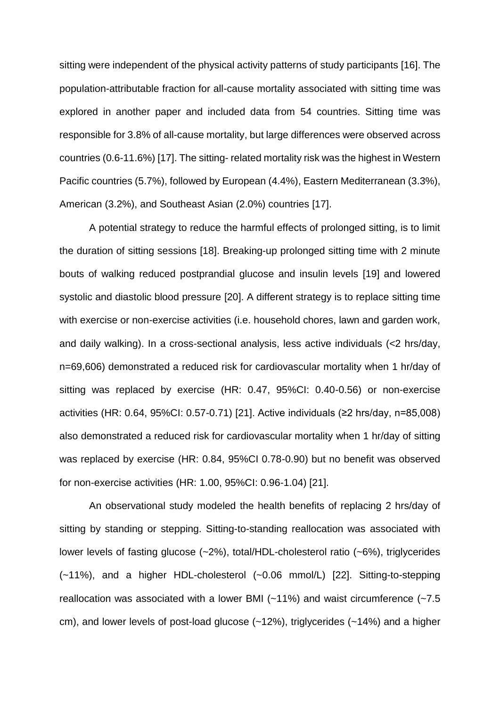sitting were independent of the physical activity patterns of study participants [16]. The population-attributable fraction for all-cause mortality associated with sitting time was explored in another paper and included data from 54 countries. Sitting time was responsible for 3.8% of all-cause mortality, but large differences were observed across countries (0.6-11.6%) [17]. The sitting- related mortality risk was the highest in Western Pacific countries (5.7%), followed by European (4.4%), Eastern Mediterranean (3.3%), American (3.2%), and Southeast Asian (2.0%) countries [17].

A potential strategy to reduce the harmful effects of prolonged sitting, is to limit the duration of sitting sessions [18]. Breaking-up prolonged sitting time with 2 minute bouts of walking reduced postprandial glucose and insulin levels [19] and lowered systolic and diastolic blood pressure [20]. A different strategy is to replace sitting time with exercise or non-exercise activities (i.e. household chores, lawn and garden work, and daily walking). In a cross-sectional analysis, less active individuals (<2 hrs/day, n=69,606) demonstrated a reduced risk for cardiovascular mortality when 1 hr/day of sitting was replaced by exercise (HR: 0.47, 95%CI: 0.40-0.56) or non-exercise activities (HR: 0.64, 95%CI: 0.57-0.71) [21]. Active individuals (≥2 hrs/day, n=85,008) also demonstrated a reduced risk for cardiovascular mortality when 1 hr/day of sitting was replaced by exercise (HR: 0.84, 95%CI 0.78-0.90) but no benefit was observed for non-exercise activities (HR: 1.00, 95%CI: 0.96-1.04) [21].

An observational study modeled the health benefits of replacing 2 hrs/day of sitting by standing or stepping. Sitting-to-standing reallocation was associated with lower levels of fasting glucose (~2%), total/HDL-cholesterol ratio (~6%), triglycerides (~11%), and a higher HDL-cholesterol (~0.06 mmol/L) [22]. Sitting-to-stepping reallocation was associated with a lower BMI (~11%) and waist circumference (~7.5 cm), and lower levels of post-load glucose (~12%), triglycerides (~14%) and a higher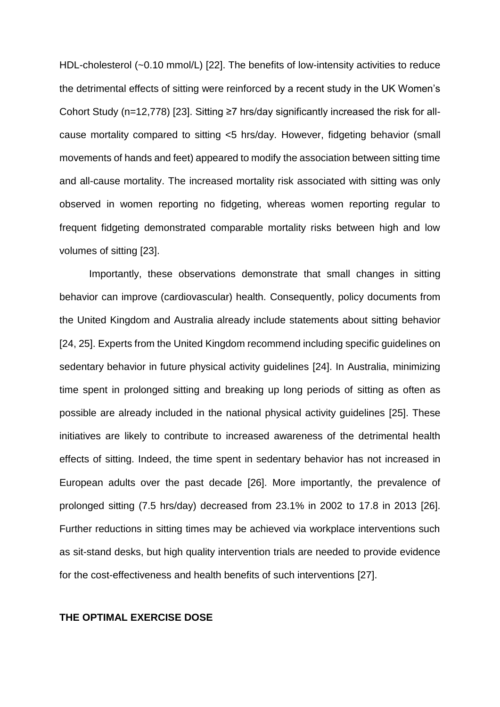HDL-cholesterol (~0.10 mmol/L) [22]. The benefits of low-intensity activities to reduce the detrimental effects of sitting were reinforced by a recent study in the UK Women's Cohort Study (n=12,778) [23]. Sitting ≥7 hrs/day significantly increased the risk for allcause mortality compared to sitting <5 hrs/day. However, fidgeting behavior (small movements of hands and feet) appeared to modify the association between sitting time and all-cause mortality. The increased mortality risk associated with sitting was only observed in women reporting no fidgeting, whereas women reporting regular to frequent fidgeting demonstrated comparable mortality risks between high and low volumes of sitting [23].

Importantly, these observations demonstrate that small changes in sitting behavior can improve (cardiovascular) health. Consequently, policy documents from the United Kingdom and Australia already include statements about sitting behavior [24, 25]. Experts from the United Kingdom recommend including specific guidelines on sedentary behavior in future physical activity guidelines [24]. In Australia, minimizing time spent in prolonged sitting and breaking up long periods of sitting as often as possible are already included in the national physical activity guidelines [25]. These initiatives are likely to contribute to increased awareness of the detrimental health effects of sitting. Indeed, the time spent in sedentary behavior has not increased in European adults over the past decade [26]. More importantly, the prevalence of prolonged sitting (7.5 hrs/day) decreased from 23.1% in 2002 to 17.8 in 2013 [26]. Further reductions in sitting times may be achieved via workplace interventions such as sit-stand desks, but high quality intervention trials are needed to provide evidence for the cost-effectiveness and health benefits of such interventions [27].

#### **THE OPTIMAL EXERCISE DOSE**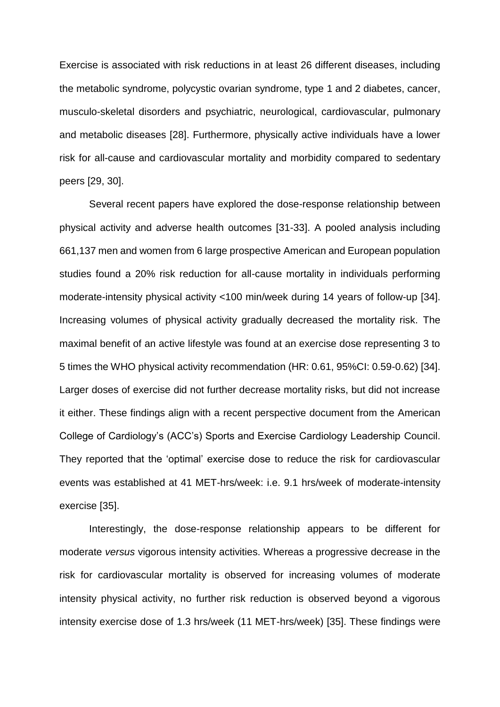Exercise is associated with risk reductions in at least 26 different diseases, including the metabolic syndrome, polycystic ovarian syndrome, type 1 and 2 diabetes, cancer, musculo-skeletal disorders and psychiatric, neurological, cardiovascular, pulmonary and metabolic diseases [28]. Furthermore, physically active individuals have a lower risk for all-cause and cardiovascular mortality and morbidity compared to sedentary peers [29, 30].

Several recent papers have explored the dose-response relationship between physical activity and adverse health outcomes [31-33]. A pooled analysis including 661,137 men and women from 6 large prospective American and European population studies found a 20% risk reduction for all-cause mortality in individuals performing moderate-intensity physical activity <100 min/week during 14 years of follow-up [34]. Increasing volumes of physical activity gradually decreased the mortality risk. The maximal benefit of an active lifestyle was found at an exercise dose representing 3 to 5 times the WHO physical activity recommendation (HR: 0.61, 95%CI: 0.59-0.62) [34]. Larger doses of exercise did not further decrease mortality risks, but did not increase it either. These findings align with a recent perspective document from the American College of Cardiology's (ACC's) Sports and Exercise Cardiology Leadership Council. They reported that the 'optimal' exercise dose to reduce the risk for cardiovascular events was established at 41 MET-hrs/week: i.e. 9.1 hrs/week of moderate-intensity exercise [35].

Interestingly, the dose-response relationship appears to be different for moderate *versus* vigorous intensity activities. Whereas a progressive decrease in the risk for cardiovascular mortality is observed for increasing volumes of moderate intensity physical activity, no further risk reduction is observed beyond a vigorous intensity exercise dose of 1.3 hrs/week (11 MET-hrs/week) [35]. These findings were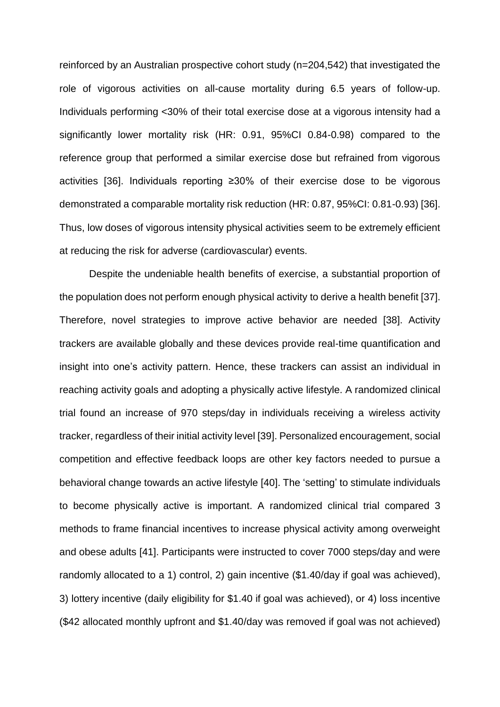reinforced by an Australian prospective cohort study (n=204,542) that investigated the role of vigorous activities on all-cause mortality during 6.5 years of follow-up. Individuals performing <30% of their total exercise dose at a vigorous intensity had a significantly lower mortality risk (HR: 0.91, 95%CI 0.84-0.98) compared to the reference group that performed a similar exercise dose but refrained from vigorous activities [36]. Individuals reporting ≥30% of their exercise dose to be vigorous demonstrated a comparable mortality risk reduction (HR: 0.87, 95%CI: 0.81-0.93) [36]. Thus, low doses of vigorous intensity physical activities seem to be extremely efficient at reducing the risk for adverse (cardiovascular) events.

Despite the undeniable health benefits of exercise, a substantial proportion of the population does not perform enough physical activity to derive a health benefit [37]. Therefore, novel strategies to improve active behavior are needed [38]. Activity trackers are available globally and these devices provide real-time quantification and insight into one's activity pattern. Hence, these trackers can assist an individual in reaching activity goals and adopting a physically active lifestyle. A randomized clinical trial found an increase of 970 steps/day in individuals receiving a wireless activity tracker, regardless of their initial activity level [39]. Personalized encouragement, social competition and effective feedback loops are other key factors needed to pursue a behavioral change towards an active lifestyle [40]. The 'setting' to stimulate individuals to become physically active is important. A randomized clinical trial compared 3 methods to frame financial incentives to increase physical activity among overweight and obese adults [41]. Participants were instructed to cover 7000 steps/day and were randomly allocated to a 1) control, 2) gain incentive (\$1.40/day if goal was achieved), 3) lottery incentive (daily eligibility for \$1.40 if goal was achieved), or 4) loss incentive (\$42 allocated monthly upfront and \$1.40/day was removed if goal was not achieved)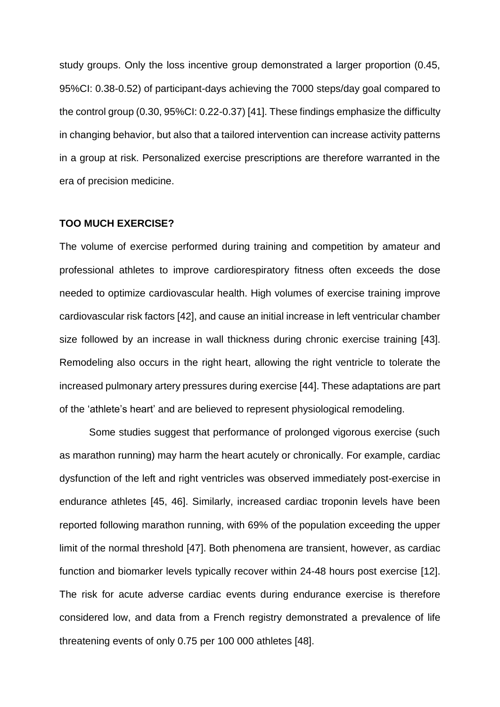study groups. Only the loss incentive group demonstrated a larger proportion (0.45, 95%CI: 0.38-0.52) of participant-days achieving the 7000 steps/day goal compared to the control group (0.30, 95%CI: 0.22-0.37) [41]. These findings emphasize the difficulty in changing behavior, but also that a tailored intervention can increase activity patterns in a group at risk. Personalized exercise prescriptions are therefore warranted in the era of precision medicine.

#### **TOO MUCH EXERCISE?**

The volume of exercise performed during training and competition by amateur and professional athletes to improve cardiorespiratory fitness often exceeds the dose needed to optimize cardiovascular health. High volumes of exercise training improve cardiovascular risk factors [42], and cause an initial increase in left ventricular chamber size followed by an increase in wall thickness during chronic exercise training [43]. Remodeling also occurs in the right heart, allowing the right ventricle to tolerate the increased pulmonary artery pressures during exercise [44]. These adaptations are part of the 'athlete's heart' and are believed to represent physiological remodeling.

Some studies suggest that performance of prolonged vigorous exercise (such as marathon running) may harm the heart acutely or chronically. For example, cardiac dysfunction of the left and right ventricles was observed immediately post-exercise in endurance athletes [45, 46]. Similarly, increased cardiac troponin levels have been reported following marathon running, with 69% of the population exceeding the upper limit of the normal threshold [47]. Both phenomena are transient, however, as cardiac function and biomarker levels typically recover within 24-48 hours post exercise [12]. The risk for acute adverse cardiac events during endurance exercise is therefore considered low, and data from a French registry demonstrated a prevalence of life threatening events of only 0.75 per 100 000 athletes [48].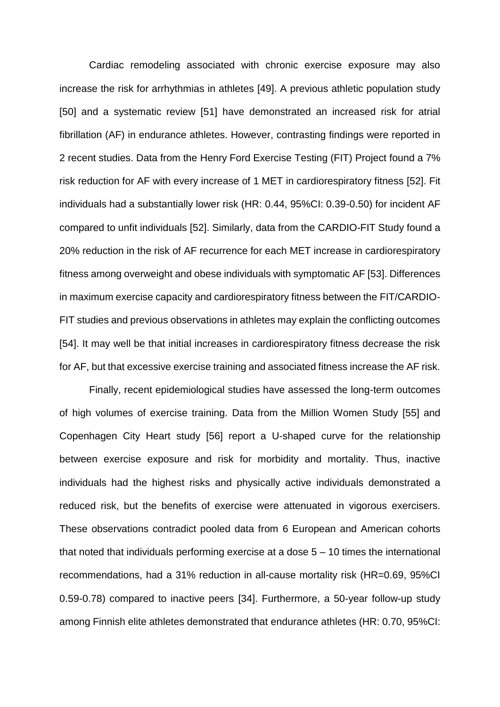Cardiac remodeling associated with chronic exercise exposure may also increase the risk for arrhythmias in athletes [49]. A previous athletic population study [50] and a systematic review [51] have demonstrated an increased risk for atrial fibrillation (AF) in endurance athletes. However, contrasting findings were reported in 2 recent studies. Data from the Henry Ford Exercise Testing (FIT) Project found a 7% risk reduction for AF with every increase of 1 MET in cardiorespiratory fitness [52]. Fit individuals had a substantially lower risk (HR: 0.44, 95%CI: 0.39-0.50) for incident AF compared to unfit individuals [52]. Similarly, data from the CARDIO-FIT Study found a 20% reduction in the risk of AF recurrence for each MET increase in cardiorespiratory fitness among overweight and obese individuals with symptomatic AF [53]. Differences in maximum exercise capacity and cardiorespiratory fitness between the FIT/CARDIO-FIT studies and previous observations in athletes may explain the conflicting outcomes [54]. It may well be that initial increases in cardiorespiratory fitness decrease the risk for AF, but that excessive exercise training and associated fitness increase the AF risk.

Finally, recent epidemiological studies have assessed the long-term outcomes of high volumes of exercise training. Data from the Million Women Study [55] and Copenhagen City Heart study [56] report a U-shaped curve for the relationship between exercise exposure and risk for morbidity and mortality. Thus, inactive individuals had the highest risks and physically active individuals demonstrated a reduced risk, but the benefits of exercise were attenuated in vigorous exercisers. These observations contradict pooled data from 6 European and American cohorts that noted that individuals performing exercise at a dose 5 – 10 times the international recommendations, had a 31% reduction in all-cause mortality risk (HR=0.69, 95%CI 0.59-0.78) compared to inactive peers [34]. Furthermore, a 50-year follow-up study among Finnish elite athletes demonstrated that endurance athletes (HR: 0.70, 95%CI: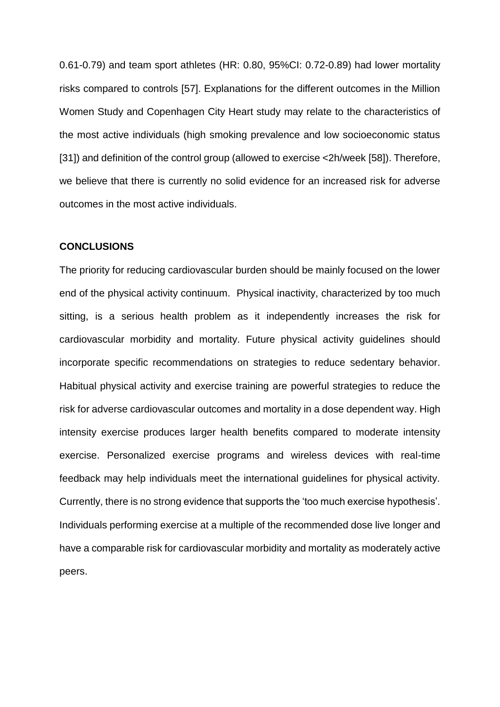0.61-0.79) and team sport athletes (HR: 0.80, 95%CI: 0.72-0.89) had lower mortality risks compared to controls [57]. Explanations for the different outcomes in the Million Women Study and Copenhagen City Heart study may relate to the characteristics of the most active individuals (high smoking prevalence and low socioeconomic status [31]) and definition of the control group (allowed to exercise <2h/week [58]). Therefore, we believe that there is currently no solid evidence for an increased risk for adverse outcomes in the most active individuals.

#### **CONCLUSIONS**

The priority for reducing cardiovascular burden should be mainly focused on the lower end of the physical activity continuum. Physical inactivity, characterized by too much sitting, is a serious health problem as it independently increases the risk for cardiovascular morbidity and mortality. Future physical activity guidelines should incorporate specific recommendations on strategies to reduce sedentary behavior. Habitual physical activity and exercise training are powerful strategies to reduce the risk for adverse cardiovascular outcomes and mortality in a dose dependent way. High intensity exercise produces larger health benefits compared to moderate intensity exercise. Personalized exercise programs and wireless devices with real-time feedback may help individuals meet the international guidelines for physical activity. Currently, there is no strong evidence that supports the 'too much exercise hypothesis'. Individuals performing exercise at a multiple of the recommended dose live longer and have a comparable risk for cardiovascular morbidity and mortality as moderately active peers.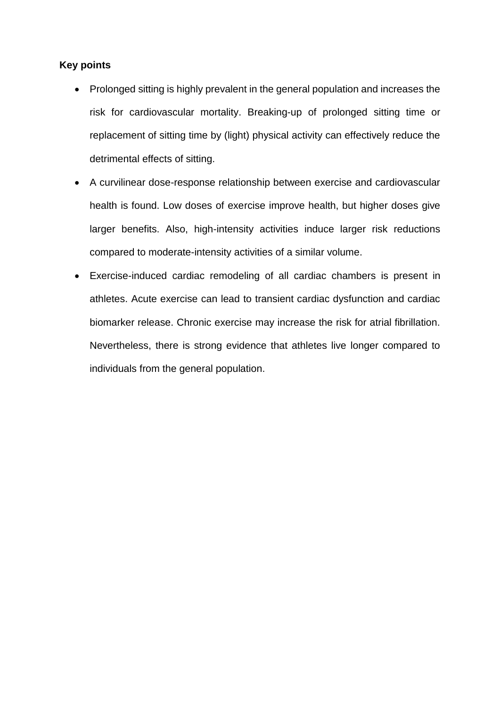### **Key points**

- Prolonged sitting is highly prevalent in the general population and increases the risk for cardiovascular mortality. Breaking-up of prolonged sitting time or replacement of sitting time by (light) physical activity can effectively reduce the detrimental effects of sitting.
- A curvilinear dose-response relationship between exercise and cardiovascular health is found. Low doses of exercise improve health, but higher doses give larger benefits. Also, high-intensity activities induce larger risk reductions compared to moderate-intensity activities of a similar volume.
- Exercise-induced cardiac remodeling of all cardiac chambers is present in athletes. Acute exercise can lead to transient cardiac dysfunction and cardiac biomarker release. Chronic exercise may increase the risk for atrial fibrillation. Nevertheless, there is strong evidence that athletes live longer compared to individuals from the general population.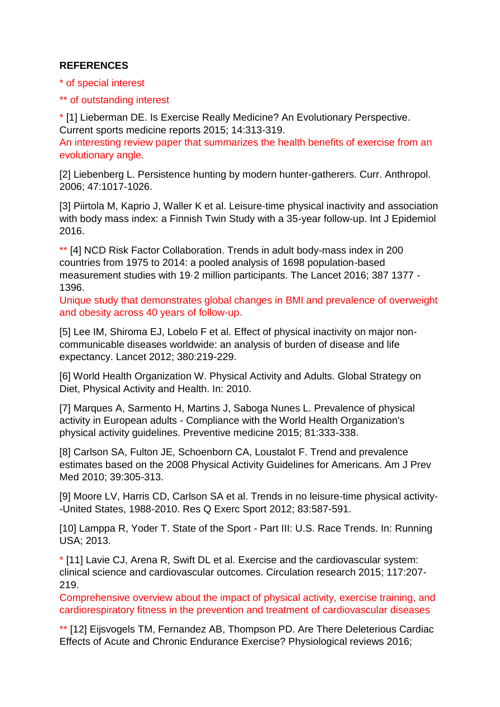## **REFERENCES**

\* of special interest

\*\* of outstanding interest

\* [1] Lieberman DE. Is Exercise Really Medicine? An Evolutionary Perspective. Current sports medicine reports 2015; 14:313-319.

An interesting review paper that summarizes the health benefits of exercise from an evolutionary angle.

[2] Liebenberg L. Persistence hunting by modern hunter-gatherers. Curr. Anthropol. 2006; 47:1017-1026.

[3] Piirtola M, Kaprio J, Waller K et al. Leisure-time physical inactivity and association with body mass index: a Finnish Twin Study with a 35-year follow-up. Int J Epidemiol 2016.

\*\* [4] NCD Risk Factor Collaboration. Trends in adult body-mass index in 200 countries from 1975 to 2014: a pooled analysis of 1698 population-based measurement studies with 19·2 million participants. The Lancet 2016; 387 1377 - 1396.

Unique study that demonstrates global changes in BMI and prevalence of overweight and obesity across 40 years of follow-up.

[5] Lee IM, Shiroma EJ, Lobelo F et al. Effect of physical inactivity on major noncommunicable diseases worldwide: an analysis of burden of disease and life expectancy. Lancet 2012; 380:219-229.

[6] World Health Organization W. Physical Activity and Adults. Global Strategy on Diet, Physical Activity and Health. In: 2010.

[7] Marques A, Sarmento H, Martins J, Saboga Nunes L. Prevalence of physical activity in European adults - Compliance with the World Health Organization's physical activity guidelines. Preventive medicine 2015; 81:333-338.

[8] Carlson SA, Fulton JE, Schoenborn CA, Loustalot F. Trend and prevalence estimates based on the 2008 Physical Activity Guidelines for Americans. Am J Prev Med 2010; 39:305-313.

[9] Moore LV, Harris CD, Carlson SA et al. Trends in no leisure-time physical activity- -United States, 1988-2010. Res Q Exerc Sport 2012; 83:587-591.

[10] Lamppa R, Yoder T. State of the Sport - Part III: U.S. Race Trends. In: Running USA; 2013.

\* [11] Lavie CJ, Arena R, Swift DL et al. Exercise and the cardiovascular system: clinical science and cardiovascular outcomes. Circulation research 2015; 117:207- 219.

Comprehensive overview about the impact of physical activity, exercise training, and cardiorespiratory fitness in the prevention and treatment of cardiovascular diseases

\*\* [12] Eijsvogels TM, Fernandez AB, Thompson PD. Are There Deleterious Cardiac Effects of Acute and Chronic Endurance Exercise? Physiological reviews 2016;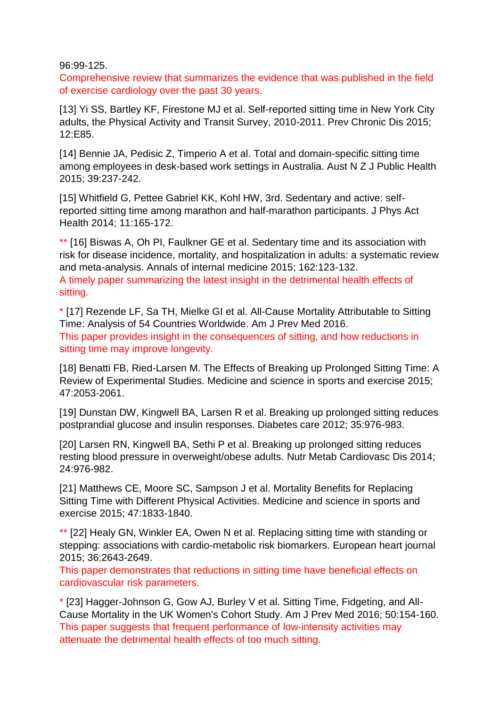96:99-125.

Comprehensive review that summarizes the evidence that was published in the field of exercise cardiology over the past 30 years.

[13] Yi SS, Bartley KF, Firestone MJ et al. Self-reported sitting time in New York City adults, the Physical Activity and Transit Survey, 2010-2011. Prev Chronic Dis 2015; 12:E85.

[14] Bennie JA, Pedisic Z, Timperio A et al. Total and domain-specific sitting time among employees in desk-based work settings in Australia. Aust N Z J Public Health 2015; 39:237-242.

[15] Whitfield G, Pettee Gabriel KK, Kohl HW, 3rd. Sedentary and active: selfreported sitting time among marathon and half-marathon participants. J Phys Act Health 2014; 11:165-172.

\*\* [16] Biswas A, Oh PI, Faulkner GE et al. Sedentary time and its association with risk for disease incidence, mortality, and hospitalization in adults: a systematic review and meta-analysis. Annals of internal medicine 2015; 162:123-132. A timely paper summarizing the latest insight in the detrimental health effects of sitting.

\* [17] Rezende LF, Sa TH, Mielke GI et al. All-Cause Mortality Attributable to Sitting Time: Analysis of 54 Countries Worldwide. Am J Prev Med 2016. This paper provides insight in the consequences of sitting, and how reductions in sitting time may improve longevity.

[18] Benatti FB, Ried-Larsen M. The Effects of Breaking up Prolonged Sitting Time: A Review of Experimental Studies. Medicine and science in sports and exercise 2015; 47:2053-2061.

[19] Dunstan DW, Kingwell BA, Larsen R et al. Breaking up prolonged sitting reduces postprandial glucose and insulin responses. Diabetes care 2012; 35:976-983.

[20] Larsen RN, Kingwell BA, Sethi P et al. Breaking up prolonged sitting reduces resting blood pressure in overweight/obese adults. Nutr Metab Cardiovasc Dis 2014; 24:976-982.

[21] Matthews CE, Moore SC, Sampson J et al. Mortality Benefits for Replacing Sitting Time with Different Physical Activities. Medicine and science in sports and exercise 2015; 47:1833-1840.

\*\* [22] Healy GN, Winkler EA, Owen N et al. Replacing sitting time with standing or stepping: associations with cardio-metabolic risk biomarkers. European heart journal 2015; 36:2643-2649.

This paper demonstrates that reductions in sitting time have beneficial effects on cardiovascular risk parameters.

\* [23] Hagger-Johnson G, Gow AJ, Burley V et al. Sitting Time, Fidgeting, and All-Cause Mortality in the UK Women's Cohort Study. Am J Prev Med 2016; 50:154-160. This paper suggests that frequent performance of low-intensity activities may attenuate the detrimental health effects of too much sitting.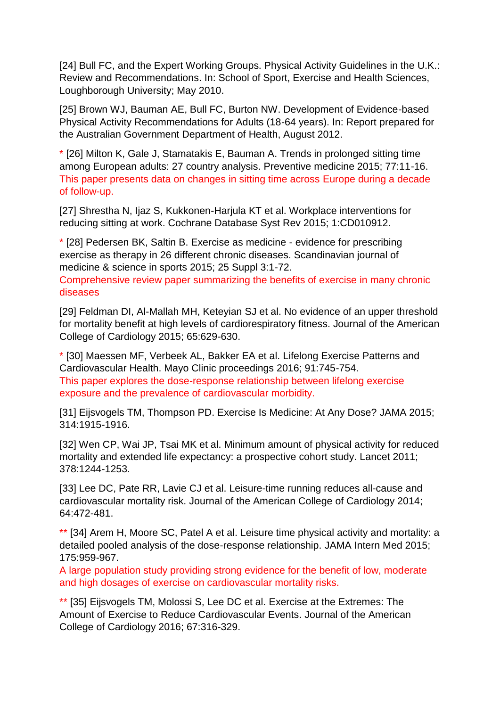[24] Bull FC, and the Expert Working Groups. Physical Activity Guidelines in the U.K.: Review and Recommendations. In: School of Sport, Exercise and Health Sciences, Loughborough University; May 2010.

[25] Brown WJ, Bauman AE, Bull FC, Burton NW. Development of Evidence-based Physical Activity Recommendations for Adults (18-64 years). In: Report prepared for the Australian Government Department of Health, August 2012.

\* [26] Milton K, Gale J, Stamatakis E, Bauman A. Trends in prolonged sitting time among European adults: 27 country analysis. Preventive medicine 2015; 77:11-16. This paper presents data on changes in sitting time across Europe during a decade of follow-up.

[27] Shrestha N, Ijaz S, Kukkonen-Harjula KT et al. Workplace interventions for reducing sitting at work. Cochrane Database Syst Rev 2015; 1:CD010912.

\* [28] Pedersen BK, Saltin B. Exercise as medicine - evidence for prescribing exercise as therapy in 26 different chronic diseases. Scandinavian journal of medicine & science in sports 2015; 25 Suppl 3:1-72.

Comprehensive review paper summarizing the benefits of exercise in many chronic diseases

[29] Feldman DI, Al-Mallah MH, Keteyian SJ et al. No evidence of an upper threshold for mortality benefit at high levels of cardiorespiratory fitness. Journal of the American College of Cardiology 2015; 65:629-630.

\* [30] Maessen MF, Verbeek AL, Bakker EA et al. Lifelong Exercise Patterns and Cardiovascular Health. Mayo Clinic proceedings 2016; 91:745-754. This paper explores the dose-response relationship between lifelong exercise exposure and the prevalence of cardiovascular morbidity.

[31] Eijsvogels TM, Thompson PD. Exercise Is Medicine: At Any Dose? JAMA 2015; 314:1915-1916.

[32] Wen CP, Wai JP, Tsai MK et al. Minimum amount of physical activity for reduced mortality and extended life expectancy: a prospective cohort study. Lancet 2011; 378:1244-1253.

[33] Lee DC, Pate RR, Lavie CJ et al. Leisure-time running reduces all-cause and cardiovascular mortality risk. Journal of the American College of Cardiology 2014; 64:472-481.

\*\* [34] Arem H, Moore SC, Patel A et al. Leisure time physical activity and mortality: a detailed pooled analysis of the dose-response relationship. JAMA Intern Med 2015; 175:959-967.

A large population study providing strong evidence for the benefit of low, moderate and high dosages of exercise on cardiovascular mortality risks.

\*\* [35] Eijsvogels TM, Molossi S, Lee DC et al. Exercise at the Extremes: The Amount of Exercise to Reduce Cardiovascular Events. Journal of the American College of Cardiology 2016; 67:316-329.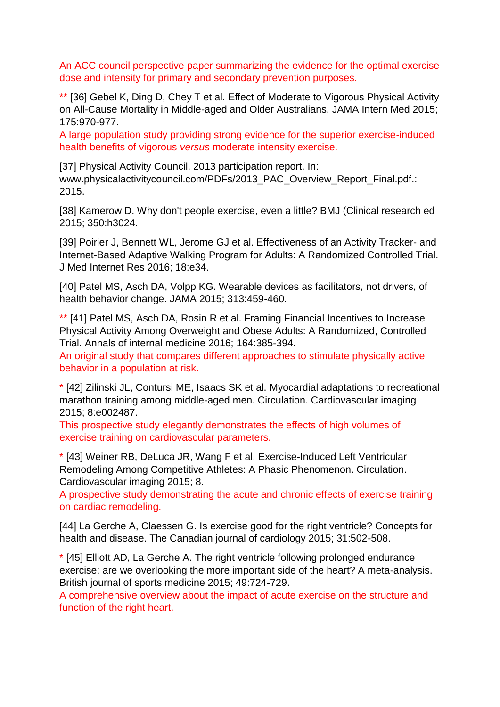An ACC council perspective paper summarizing the evidence for the optimal exercise dose and intensity for primary and secondary prevention purposes.

\*\* [36] Gebel K, Ding D, Chey T et al. Effect of Moderate to Vigorous Physical Activity on All-Cause Mortality in Middle-aged and Older Australians. JAMA Intern Med 2015; 175:970-977.

A large population study providing strong evidence for the superior exercise-induced health benefits of vigorous *versus* moderate intensity exercise.

[37] Physical Activity Council. 2013 participation report. In: www.physicalactivitycouncil.com/PDFs/2013\_PAC\_Overview\_Report\_Final.pdf.: 2015.

[38] Kamerow D. Why don't people exercise, even a little? BMJ (Clinical research ed 2015; 350:h3024.

[39] Poirier J, Bennett WL, Jerome GJ et al. Effectiveness of an Activity Tracker- and Internet-Based Adaptive Walking Program for Adults: A Randomized Controlled Trial. J Med Internet Res 2016; 18:e34.

[40] Patel MS, Asch DA, Volpp KG. Wearable devices as facilitators, not drivers, of health behavior change. JAMA 2015; 313:459-460.

\*\* [41] Patel MS, Asch DA, Rosin R et al. Framing Financial Incentives to Increase Physical Activity Among Overweight and Obese Adults: A Randomized, Controlled Trial. Annals of internal medicine 2016; 164:385-394.

An original study that compares different approaches to stimulate physically active behavior in a population at risk.

\* [42] Zilinski JL, Contursi ME, Isaacs SK et al. Myocardial adaptations to recreational marathon training among middle-aged men. Circulation. Cardiovascular imaging 2015; 8:e002487.

This prospective study elegantly demonstrates the effects of high volumes of exercise training on cardiovascular parameters.

\* [43] Weiner RB, DeLuca JR, Wang F et al. Exercise-Induced Left Ventricular Remodeling Among Competitive Athletes: A Phasic Phenomenon. Circulation. Cardiovascular imaging 2015; 8.

A prospective study demonstrating the acute and chronic effects of exercise training on cardiac remodeling.

[44] La Gerche A, Claessen G. Is exercise good for the right ventricle? Concepts for health and disease. The Canadian journal of cardiology 2015; 31:502-508.

\* [45] Elliott AD, La Gerche A. The right ventricle following prolonged endurance exercise: are we overlooking the more important side of the heart? A meta-analysis. British journal of sports medicine 2015; 49:724-729.

A comprehensive overview about the impact of acute exercise on the structure and function of the right heart.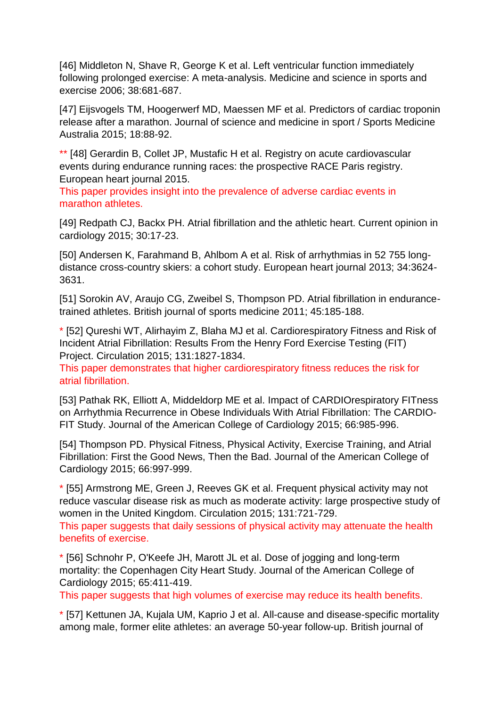[46] Middleton N, Shave R, George K et al. Left ventricular function immediately following prolonged exercise: A meta-analysis. Medicine and science in sports and exercise 2006; 38:681-687.

[47] Eijsvogels TM, Hoogerwerf MD, Maessen MF et al. Predictors of cardiac troponin release after a marathon. Journal of science and medicine in sport / Sports Medicine Australia 2015; 18:88-92.

\*\* [48] Gerardin B, Collet JP, Mustafic H et al. Registry on acute cardiovascular events during endurance running races: the prospective RACE Paris registry. European heart journal 2015.

This paper provides insight into the prevalence of adverse cardiac events in marathon athletes.

[49] Redpath CJ, Backx PH. Atrial fibrillation and the athletic heart. Current opinion in cardiology 2015; 30:17-23.

[50] Andersen K, Farahmand B, Ahlbom A et al. Risk of arrhythmias in 52 755 longdistance cross-country skiers: a cohort study. European heart journal 2013; 34:3624- 3631.

[51] Sorokin AV, Araujo CG, Zweibel S, Thompson PD. Atrial fibrillation in endurancetrained athletes. British journal of sports medicine 2011; 45:185-188.

\* [52] Qureshi WT, Alirhayim Z, Blaha MJ et al. Cardiorespiratory Fitness and Risk of Incident Atrial Fibrillation: Results From the Henry Ford Exercise Testing (FIT) Project. Circulation 2015; 131:1827-1834.

This paper demonstrates that higher cardiorespiratory fitness reduces the risk for atrial fibrillation.

[53] Pathak RK, Elliott A, Middeldorp ME et al. Impact of CARDIOrespiratory FITness on Arrhythmia Recurrence in Obese Individuals With Atrial Fibrillation: The CARDIO-FIT Study. Journal of the American College of Cardiology 2015; 66:985-996.

[54] Thompson PD. Physical Fitness, Physical Activity, Exercise Training, and Atrial Fibrillation: First the Good News, Then the Bad. Journal of the American College of Cardiology 2015; 66:997-999.

\* [55] Armstrong ME, Green J, Reeves GK et al. Frequent physical activity may not reduce vascular disease risk as much as moderate activity: large prospective study of women in the United Kingdom. Circulation 2015; 131:721-729.

This paper suggests that daily sessions of physical activity may attenuate the health benefits of exercise.

\* [56] Schnohr P, O'Keefe JH, Marott JL et al. Dose of jogging and long-term mortality: the Copenhagen City Heart Study. Journal of the American College of Cardiology 2015; 65:411-419.

This paper suggests that high volumes of exercise may reduce its health benefits.

\* [57] Kettunen JA, Kujala UM, Kaprio J et al. All-cause and disease-specific mortality among male, former elite athletes: an average 50-year follow-up. British journal of